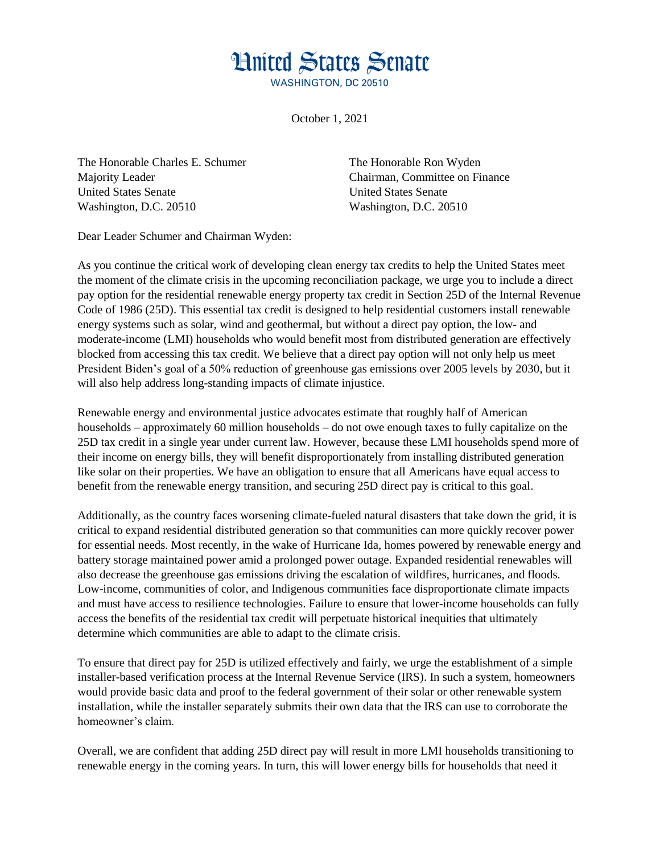## **Hnited States Senate**

**WASHINGTON, DC 20510** 

October 1, 2021

The Honorable Charles E. Schumer Majority Leader United States Senate Washington, D.C. 20510

The Honorable Ron Wyden Chairman, Committee on Finance United States Senate Washington, D.C. 20510

Dear Leader Schumer and Chairman Wyden:

As you continue the critical work of developing clean energy tax credits to help the United States meet the moment of the climate crisis in the upcoming reconciliation package, we urge you to include a direct pay option for the residential renewable energy property tax credit in Section 25D of the Internal Revenue Code of 1986 (25D). This essential tax credit is designed to help residential customers install renewable energy systems such as solar, wind and geothermal, but without a direct pay option, the low- and moderate-income (LMI) households who would benefit most from distributed generation are effectively blocked from accessing this tax credit. We believe that a direct pay option will not only help us meet President Biden's goal of a 50% reduction of greenhouse gas emissions over 2005 levels by 2030, but it will also help address long-standing impacts of climate injustice.

Renewable energy and environmental justice advocates estimate that roughly half of American households – approximately 60 million households – do not owe enough taxes to fully capitalize on the 25D tax credit in a single year under current law. However, because these LMI households spend more of their income on energy bills, they will benefit disproportionately from installing distributed generation like solar on their properties. We have an obligation to ensure that all Americans have equal access to benefit from the renewable energy transition, and securing 25D direct pay is critical to this goal.

Additionally, as the country faces worsening climate-fueled natural disasters that take down the grid, it is critical to expand residential distributed generation so that communities can more quickly recover power for essential needs. Most recently, in the wake of Hurricane Ida, homes powered by renewable energy and battery storage maintained power amid a prolonged power outage. Expanded residential renewables will also decrease the greenhouse gas emissions driving the escalation of wildfires, hurricanes, and floods. Low-income, communities of color, and Indigenous communities face disproportionate climate impacts and must have access to resilience technologies. Failure to ensure that lower-income households can fully access the benefits of the residential tax credit will perpetuate historical inequities that ultimately determine which communities are able to adapt to the climate crisis.

To ensure that direct pay for 25D is utilized effectively and fairly, we urge the establishment of a simple installer-based verification process at the Internal Revenue Service (IRS). In such a system, homeowners would provide basic data and proof to the federal government of their solar or other renewable system installation, while the installer separately submits their own data that the IRS can use to corroborate the homeowner's claim.

Overall, we are confident that adding 25D direct pay will result in more LMI households transitioning to renewable energy in the coming years. In turn, this will lower energy bills for households that need it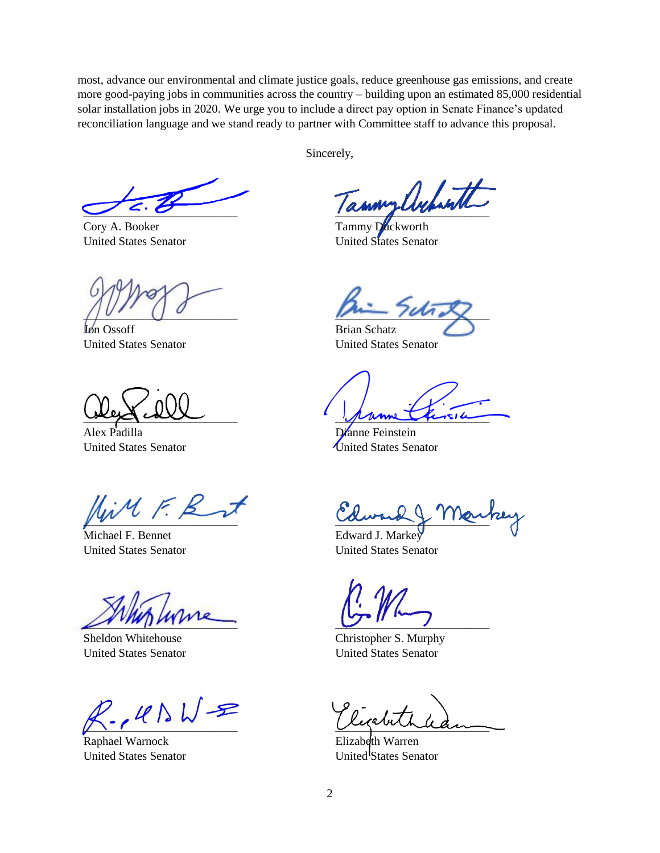most, advance our environmental and climate justice goals, reduce greenhouse gas emissions, and create more good-paying jobs in communities across the country – building upon an estimated 85,000 residential solar installation jobs in 2020. We urge you to include a direct pay option in Senate Finance's updated reconciliation language and we stand ready to partner with Committee staff to advance this proposal.

 $\cup$  2.0

Cory A. Booker United States Senator

 $\bigcup_{i=1}^{n}$ 

Jon Ossoff United States Senator

\_\_\_\_\_\_\_\_\_\_\_\_\_\_\_\_\_\_\_\_\_\_\_\_\_\_

Alex Padilla United States Senator

 $\mu \mathcal{M} \in \mathcal{B}$ 

Michael F. Bennet United States Senator

 $\sqrt{2\pi r}$ 

Sheldon Whitehouse United States Senator

 $Z_{\sim}$  le  $N$   $\sqrt{Z}$ 

Raphael Warnock United States Senator

Sincerely,

 $\mu$ 

Tammy Duckworth United States Senator

 $m$ 

Brian Schatz United States Senator

prime first

Dianne Feinstein United States Senator

aument, 11200

Edward J. Markey United States Senator

 $\overline{C}$  is a set of  $\overline{C}$ 

Christopher S. Murphy United States Senator

\_\_\_\_\_\_\_\_\_\_\_\_\_\_\_\_\_\_\_\_\_\_\_\_\_\_

Elizabeth Warren United<sup>1</sup>States Senator